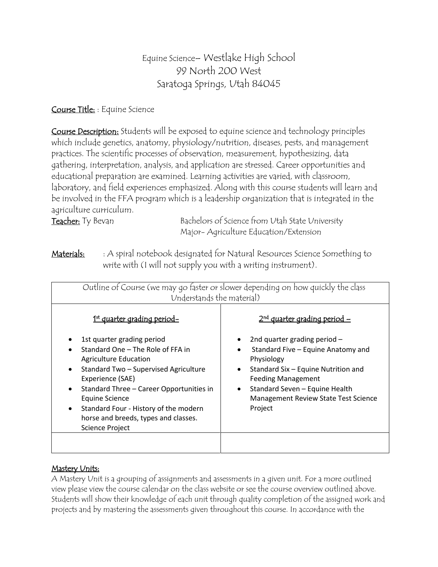# Equine Science– Westlake High School 99 North 200 West Saratoga Springs, Utah 84045

# Course Title: : Equine Science

Course Description: Students will be exposed to equine science and technology principles which include genetics, anatomy, physiology/nutrition, diseases, pests, and management practices. The scientific processes of observation, measurement, hypothesizing, data gathering, interpretation, analysis, and application are stressed. Career opportunities and educational preparation are examined. Learning activities are varied, with classroom, laboratory, and field experiences emphasized. Along with this course students will learn and be involved in the FFA program which is a leadership organization that is integrated in the agriculture curriculum.

Teacher: Ty Bevan Bachelors of Science from Utah State University Major- Agriculture Education/Extension

**Materials:** : A spiral notebook designated for Natural Resources Science Something to write with (I will not supply you with a writing instrument).

| Outline of Course (we may go faster or slower depending on how quickly the class<br>Understands the material)                                                                                                                                                                                                        |                                                                                                                                                                                                                                     |  |  |  |  |  |
|----------------------------------------------------------------------------------------------------------------------------------------------------------------------------------------------------------------------------------------------------------------------------------------------------------------------|-------------------------------------------------------------------------------------------------------------------------------------------------------------------------------------------------------------------------------------|--|--|--|--|--|
| 1 <sup>st</sup> quarter grading period-<br>1st quarter grading period                                                                                                                                                                                                                                                | $2nd$ quarter grading period –<br>2nd quarter grading period $-$                                                                                                                                                                    |  |  |  |  |  |
| Standard One - The Role of FFA in<br><b>Agriculture Education</b><br>Standard Two - Supervised Agriculture<br>$\bullet$<br>Experience (SAE)<br>Standard Three - Career Opportunities in<br><b>Equine Science</b><br>Standard Four - History of the modern<br>horse and breeds, types and classes.<br>Science Project | Standard Five - Equine Anatomy and<br>Physiology<br>Standard Six - Equine Nutrition and<br>$\bullet$<br><b>Feeding Management</b><br>Standard Seven - Equine Health<br>$\bullet$<br>Management Review State Test Science<br>Project |  |  |  |  |  |

# Mastery Units:

A Mastery Unit is a grouping of assignments and assessments in a given unit. For a more outlined view please view the course calendar on the class website or see the course overview outlined above. Students will show their knowledge of each unit through quality completion of the assigned work and projects and by mastering the assessments given throughout this course. In accordance with the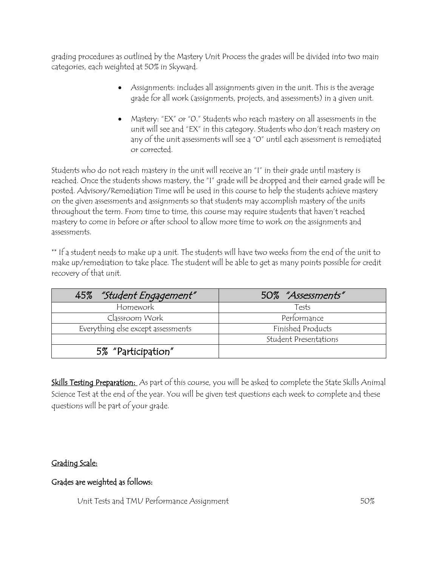grading procedures as outlined by the Mastery Unit Process the grades will be divided into two main categories, each weighted at 50% in Skyward.

- Assignments: includes all assignments given in the unit. This is the average grade for all work (assignments, projects, and assessments) in a given unit.
- Mastery: "EX" or "0." Students who reach mastery on all assessments in the unit will see and "EX" in this category. Students who don't reach mastery on any of the unit assessments will see a "0" until each assessment is remediated or corrected.

Students who do not reach mastery in the unit will receive an "I" in their grade until mastery is reached. Once the students shows mastery, the "I" grade will be dropped and their earned grade will be posted. Advisory/Remediation Time will be used in this course to help the students achieve mastery on the given assessments and assignments so that students may accomplish mastery of the units throughout the term. From time to time, this course may require students that haven't reached mastery to come in before or after school to allow more time to work on the assignments and assessments.

\*\* If a student needs to make up a unit. The students will have two weeks from the end of the unit to make up/remediation to take place. The student will be able to get as many points possible for credit recovery of that unit.

| "Student Engagement"<br>45%        | 50% "Assessments"     |
|------------------------------------|-----------------------|
| Homework                           | Tests                 |
| Classroom Work                     | Performance           |
| Everything else except assessments | Finished Products     |
|                                    | Student Presentations |
| 5% "Participation"                 |                       |

Skills Testing Preparation: As part of this course, you will be asked to complete the State Skills Animal Science Test at the end of the year. You will be given test questions each week to complete and these questions will be part of your grade.

# Grading Scale:

### Grades are weighted as follows:

Unit Tests and TMU Performance Assignment 60%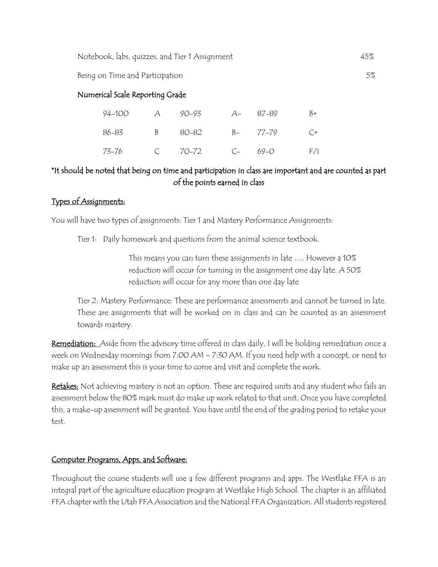Notebook, labs, quizzes, and Tier 1 Assignment 45%

Being on Time and Participation 5%

### Numerical Scale Reporting Grade

|  | 94-100 A 90-93 A- 87-89 B+ |  |  |
|--|----------------------------|--|--|
|  | 86-83 B 80-82 B- 77-79 C+  |  |  |
|  |                            |  |  |

# \*It should be noted that being on time and participation in class are important and are counted as part of the points earned in class

### Types of Assignments:

You will have two types of assignments: Tier 1 and Mastery Performance Assignments:

Tier 1: Daily homework and questions from the animal science textbook.

This means you can turn these assignments in late …. However a 10% reduction will occur for turning in the assignment one day late. A 50% reduction will occur for any more than one day late

Tier 2: Mastery Performance: These are performance assessments and cannot be turned in late. These are assignments that will be worked on in class and can be counted as an assessment towards mastery.

Remediation: Aside from the advisory time offered in class daily, I will be holding remediation once a week on Wednesday mornings from 7:00 AM – 7:30 AM. If you need help with a concept, or need to make up an assessment this is your time to come and visit and complete the work.

Retakes: Not achieving mastery is not an option. These are required units and any student who fails an assessment below the 80% mark must do make up work related to that unit. Once you have completed this, a make-up assessment will be granted. You have until the end of the grading period to retake your test.

### Computer Programs, Apps, and Software:

Throughout the course students will use a few different programs and apps. The Westlake FFA is an integral part of the agriculture education program at Westlake High School. The chapter is an affiliated FFA chapter with the Utah FFA Association and the National FFA Organization. All students registered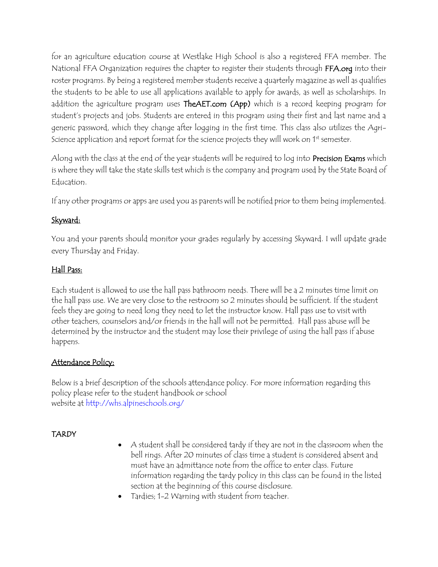for an agriculture education course at Westlake High School is also a registered FFA member. The National FFA Organization requires the chapter to register their students through FFA.org into their roster programs. By being a registered member students receive a quarterly magazine as well as qualifies the students to be able to use all applications available to apply for awards, as well as scholarships. In addition the agriculture program uses TheAET.com (App) which is a record keeping program for student's projects and jobs. Students are entered in this program using their first and last name and a generic password, which they change after logging in the first time. This class also utilizes the Agri-Science application and report format for the science projects they will work on 1<sup>st</sup> semester.

Along with the class at the end of the year students will be required to log into Precision Exams which is where they will take the state skills test which is the company and program used by the State Board of Education.

If any other programs or apps are used you as parents will be notified prior to them being implemented.

# Skyward:

You and your parents should monitor your grades regularly by accessing Skyward. I will update grade every Thursday and Friday.

# Hall Pass:

Each student is allowed to use the hall pass bathroom needs. There will be a 2 minutes time limit on the hall pass use. We are very close to the restroom so 2 minutes should be sufficient. If the student feels they are going to need long they need to let the instructor know. Hall pass use to visit with other teachers, counselors and/or friends in the hall will not be permitted. Hall pass abuse will be determined by the instructor and the student may lose their privilege of using the hall pass if abuse happens.

# Attendance Policy:

Below is a brief description of the schools attendance policy. For more information regarding this policy please refer to the student handbook or school website at http://whs.alpineschools.org/

# **TARDY**

- A student shall be considered tardy if they are not in the classroom when the bell rings. After 20 minutes of class time a student is considered absent and must have an admittance note from the office to enter class. Future information regarding the tardy policy in this class can be found in the listed section at the beginning of this course disclosure.
- Tardies; 1-2 Warning with student from teacher.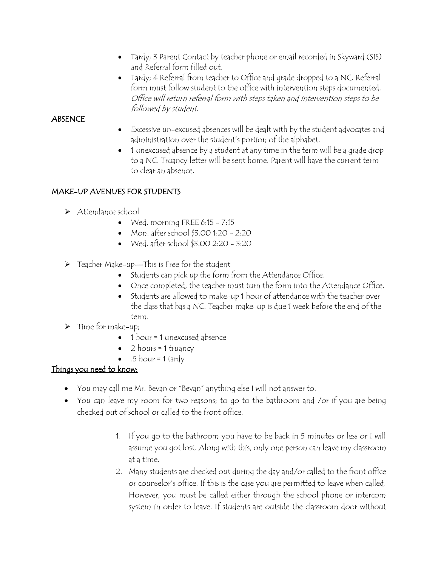- Tardy; 3 Parent Contact by teacher phone or email recorded in Skyward (SIS) and Referral form filled out.
- Tardy; 4 Referral from teacher to Office and grade dropped to a NC. Referral form must follow student to the office with intervention steps documented. Office will return referral form with steps taken and intervention steps to be followed by student.

### **ABSENCE**

- Excessive un-excused absences will be dealt with by the student advocates and administration over the student's portion of the alphabet.
- 1 unexcused absence by a student at any time in the term will be a grade drop to a NC. Truancy letter will be sent home. Parent will have the current term to clear an absence.

# MAKE-UP AVENUES FOR STUDENTS

- Attendance school
	- $\bullet$  Wed. morning FREE 6:15 7:15
	- Mon. after school \$3.00 1:20 2:20
	- Wed. after school \$3.00 2:20 3:20
- Teacher Make-up—This is Free for the student
	- Students can pick up the form from the Attendance Office.
	- Once completed, the teacher must turn the form into the Attendance Office.
	- Students are allowed to make-up 1 hour of attendance with the teacher over the class that has a NC. Teacher make-up is due 1 week before the end of the term.
- $\triangleright$  Time for make-up;
	- $\bullet$  1 hour = 1 unexcused absence
	- 2 hours = 1 truancy
	- $\bullet$  .5 hour = 1 tardy

# Things you need to know:

- You may call me Mr. Bevan or "Bevan" anything else I will not answer to.
- You can leave my room for two reasons; to go to the bathroom and /or if you are being checked out of school or called to the front office.
	- 1. If you go to the bathroom you have to be back in 5 minutes or less or I will assume you got lost. Along with this, only one person can leave my classroom at a time.
	- 2. Many students are checked out during the day and/or called to the front office or counselor's office. If this is the case you are permitted to leave when called. However, you must be called either through the school phone or intercom system in order to leave. If students are outside the classroom door without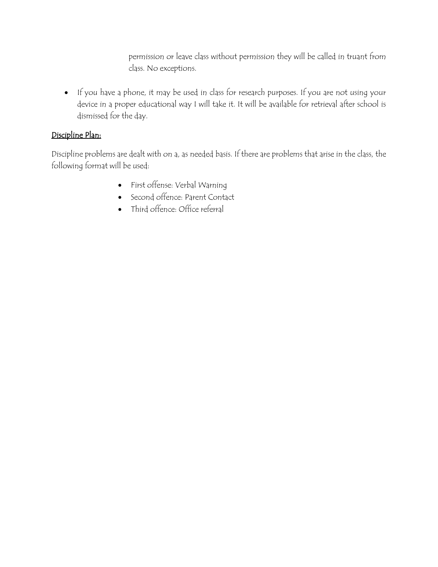permission or leave class without permission they will be called in truant from class. No exceptions.

 If you have a phone, it may be used in class for research purposes. If you are not using your device in a proper educational way I will take it. It will be available for retrieval after school is dismissed for the day.

# Discipline Plan:

Discipline problems are dealt with on a, as needed basis. If there are problems that arise in the class, the following format will be used:

- First offense: Verbal Warning
- Second offence: Parent Contact
- Third offence: Office referral